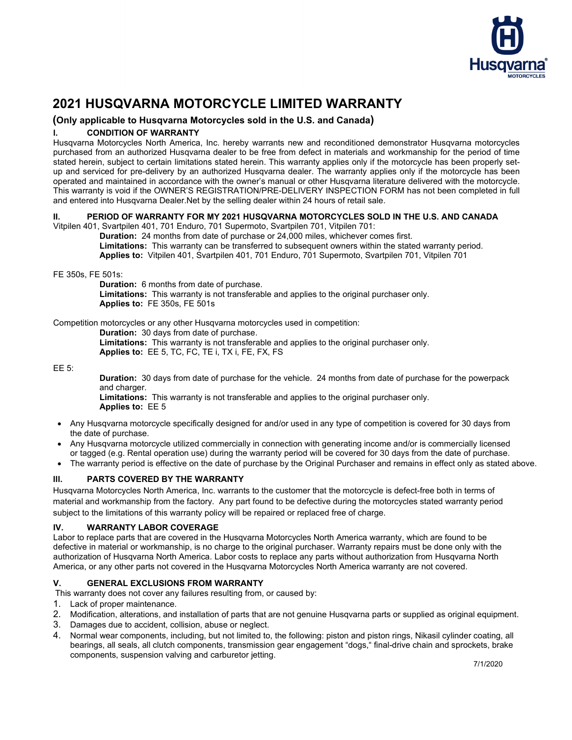

# **2021 HUSQVARNA MOTORCYCLE LIMITED WARRANTY**

## **(Only applicable to Husqvarna Motorcycles sold in the U.S. and Canada)**

### **l. CONDITION OF WARRANTY**

Husqvarna Motorcycles North America, Inc. hereby warrants new and reconditioned demonstrator Husqvarna motorcycles purchased from an authorized Husqvarna dealer to be free from defect in materials and workmanship for the period of time stated herein, subject to certain limitations stated herein. This warranty applies only if the motorcycle has been properly setup and serviced for pre-delivery by an authorized Husqvarna dealer. The warranty applies only if the motorcycle has been operated and maintained in accordance with the owner's manual or other Husqvarna literature delivered with the motorcycle. This warranty is void if the OWNER'S REGISTRATION/PRE-DELIVERY INSPECTION FORM has not been completed in full and entered into Husqvarna Dealer.Net by the selling dealer within 24 hours of retail sale.

### **II. PERIOD OF WARRANTY FOR MY 2021 HUSQVARNA MOTORCYCLES SOLD IN THE U.S. AND CANADA**

Vitpilen 401, Svartpilen 401, 701 Enduro, 701 Supermoto, Svartpilen 701, Vitpilen 701:

 **Duration:** 24 months from date of purchase or 24,000 miles, whichever comes first.  **Limitations:** This warranty can be transferred to subsequent owners within the stated warranty period. **Applies to:** Vitpilen 401, Svartpilen 401, 701 Enduro, 701 Supermoto, Svartpilen 701, Vitpilen 701

FE 350s, FE 501s:

 **Duration:** 6 months from date of purchase.

 **Limitations:** This warranty is not transferable and applies to the original purchaser only. **Applies to:** FE 350s, FE 501s

Competition motorcycles or any other Husqvarna motorcycles used in competition:

 **Duration:** 30 days from date of purchase.

 **Limitations:** This warranty is not transferable and applies to the original purchaser only.  **Applies to:** EE 5, TC, FC, TE i, TX i, FE, FX, FS

EE 5:

**Duration:** 30 days from date of purchase for the vehicle. 24 months from date of purchase for the powerpack and charger.

 **Limitations:** This warranty is not transferable and applies to the original purchaser only. **Applies to:** EE 5

- Any Husqvarna motorcycle specifically designed for and/or used in any type of competition is covered for 30 days from the date of purchase.
- Any Husqvarna motorcycle utilized commercially in connection with generating income and/or is commercially licensed or tagged (e.g. Rental operation use) during the warranty period will be covered for 30 days from the date of purchase.
- The warranty period is effective on the date of purchase by the Original Purchaser and remains in effect only as stated above.

# **lll. PARTS COVERED BY THE WARRANTY**

Husqvarna Motorcycles North America, Inc. warrants to the customer that the motorcycle is defect-free both in terms of material and workmanship from the factory. Any part found to be defective during the motorcycles stated warranty period subject to the limitations of this warranty policy will be repaired or replaced free of charge.

### **IV. WARRANTY LABOR COVERAGE**

Labor to replace parts that are covered in the Husqvarna Motorcycles North America warranty, which are found to be defective in material or workmanship, is no charge to the original purchaser. Warranty repairs must be done only with the authorization of Husqvarna North America. Labor costs to replace any parts without authorization from Husqvarna North America, or any other parts not covered in the Husqvarna Motorcycles North America warranty are not covered.

# **V. GENERAL EXCLUSIONS FROM WARRANTY**

This warranty does not cover any failures resulting from, or caused by:

- 1. Lack of proper maintenance.
- 2. Modification, alterations, and installation of parts that are not genuine Husqvarna parts or supplied as original equipment.
- 3. Damages due to accident, collision, abuse or neglect.
- 4. Normal wear components, including, but not limited to, the following: piston and piston rings, Nikasil cylinder coating, all bearings, all seals, all clutch components, transmission gear engagement "dogs," final-drive chain and sprockets, brake components, suspension valving and carburetor jetting.